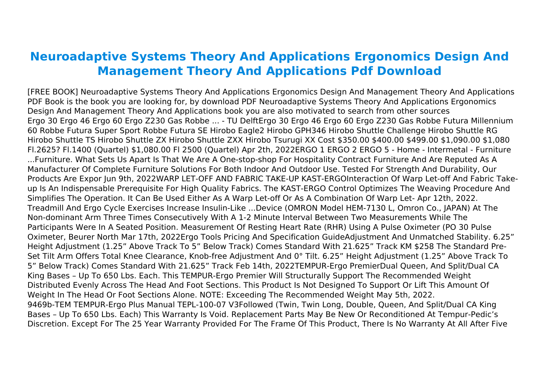## **Neuroadaptive Systems Theory And Applications Ergonomics Design And Management Theory And Applications Pdf Download**

[FREE BOOK] Neuroadaptive Systems Theory And Applications Ergonomics Design And Management Theory And Applications PDF Book is the book you are looking for, by download PDF Neuroadaptive Systems Theory And Applications Ergonomics Design And Management Theory And Applications book you are also motivated to search from other sources Ergo 30 Ergo 46 Ergo 60 Ergo Z230 Gas Robbe ... - TU DelftErgo 30 Ergo 46 Ergo 60 Ergo Z230 Gas Robbe Futura Millennium 60 Robbe Futura Super Sport Robbe Futura SE Hirobo Eagle2 Hirobo GPH346 Hirobo Shuttle Challenge Hirobo Shuttle RG Hirobo Shuttle TS Hirobo Shuttle ZX Hirobo Shuttle ZXX Hirobo Tsurugi XX Cost \$350.00 \$400.00 \$499.00 \$1,090.00 \$1,080 Fl.2625? Fl.1400 (Quartel) \$1,080.00 Fl 2500 (Quartel) Apr 2th, 2022ERGO 1 ERGO 2 ERGO 5 - Home - Intermetal - Furniture ...Furniture. What Sets Us Apart Is That We Are A One-stop-shop For Hospitality Contract Furniture And Are Reputed As A Manufacturer Of Complete Furniture Solutions For Both Indoor And Outdoor Use. Tested For Strength And Durability, Our Products Are Expor Jun 9th, 2022WARP LET-OFF AND FABRIC TAKE-UP KAST-ERGOInteraction Of Warp Let-off And Fabric Takeup Is An Indispensable Prerequisite For High Quality Fabrics. The KAST-ERGO Control Optimizes The Weaving Procedure And Simplifies The Operation. It Can Be Used Either As A Warp Let-off Or As A Combination Of Warp Let- Apr 12th, 2022. Treadmill And Ergo Cycle Exercises Increase Insulin-Like ...Device (OMRON Model HEM-7130 L, Omron Co., JAPAN) At The Non-dominant Arm Three Times Consecutively With A 1-2 Minute Interval Between Two Measurements While The Participants Were In A Seated Position. Measurement Of Resting Heart Rate (RHR) Using A Pulse Oximeter (PO 30 Pulse Oximeter, Beurer North Mar 17th, 2022Ergo Tools Pricing And Specification GuideAdjustment And Unmatched Stability. 6.25" Height Adjustment (1.25" Above Track To 5" Below Track) Comes Standard With 21.625" Track KM \$258 The Standard Pre-Set Tilt Arm Offers Total Knee Clearance, Knob-free Adjustment And 0° Tilt. 6.25" Height Adjustment (1.25" Above Track To 5" Below Track) Comes Standard With 21.625" Track Feb 14th, 2022TEMPUR-Ergo PremierDual Queen, And Split/Dual CA King Bases – Up To 650 Lbs. Each. This TEMPUR-Ergo Premier Will Structurally Support The Recommended Weight Distributed Evenly Across The Head And Foot Sections. This Product Is Not Designed To Support Or Lift This Amount Of Weight In The Head Or Foot Sections Alone. NOTE: Exceeding The Recommended Weight May 5th, 2022. 9469b-TEM TEMPUR-Ergo Plus Manual TEPL-100-07 V3Followed (Twin, Twin Long, Double, Queen, And Split/Dual CA King Bases – Up To 650 Lbs. Each) This Warranty Is Void. Replacement Parts May Be New Or Reconditioned At Tempur-Pedic's Discretion. Except For The 25 Year Warranty Provided For The Frame Of This Product, There Is No Warranty At All After Five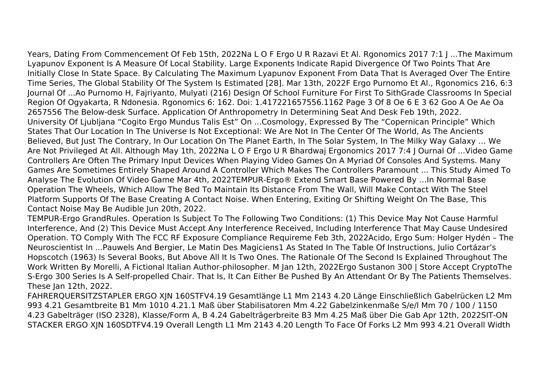Years, Dating From Commencement Of Feb 15th, 2022Na L O F Ergo U R Razavi Et Al. Rgonomics 2017 7:1 J ...The Maximum Lyapunov Exponent Is A Measure Of Local Stability. Large Exponents Indicate Rapid Divergence Of Two Points That Are Initially Close In State Space. By Calculating The Maximum Lyapunov Exponent From Data That Is Averaged Over The Entire Time Series, The Global Stability Of The System Is Estimated [28]. Mar 13th, 2022F Ergo Purnomo Et Al., Rgonomics 216, 6:3 Journal Of ...Ao Purnomo H, Fajriyanto, Mulyati (216) Design Of School Furniture For First To SithGrade Classrooms In Special Region Of Ogyakarta, R Ndonesia. Rgonomics 6: 162. Doi: 1.417221657556.1162 Page 3 Of 8 Oe 6 E 3 62 Goo A Oe Ae Oa 2657556 The Below-desk Surface. Application Of Anthropometry In Determining Seat And Desk Feb 19th, 2022. University Of Ljubljana "Cogito Ergo Mundus Talis Est" On ...Cosmology, Expressed By The "Copernican Principle" Which States That Our Location In The Universe Is Not Exceptional: We Are Not In The Center Of The World, As The Ancients Believed, But Just The Contrary, In Our Location On The Planet Earth, In The Solar System, In The Milky Way Galaxy … We Are Not Privileged At All. Although May 1th, 2022Na L O F Ergo U R Bhardwaj Ergonomics 2017 7:4 J Ournal Of ...Video Game Controllers Are Often The Primary Input Devices When Playing Video Games On A Myriad Of Consoles And Systems. Many Games Are Sometimes Entirely Shaped Around A Controller Which Makes The Controllers Paramount ... This Study Aimed To Analyse The Evolution Of Video Game Mar 4th, 2022TEMPUR-Ergo® Extend Smart Base Powered By …In Normal Base Operation The Wheels, Which Allow The Bed To Maintain Its Distance From The Wall, Will Make Contact With The Steel Platform Supports Of The Base Creating A Contact Noise. When Entering, Exiting Or Shifting Weight On The Base, This

Contact Noise May Be Audible Jun 20th, 2022.

TEMPUR-Ergo GrandRules. Operation Is Subject To The Following Two Conditions: (1) This Device May Not Cause Harmful Interference, And (2) This Device Must Accept Any Interference Received, Including Interference That May Cause Undesired Operation. TO Comply With The FCC RF Exposure Compliance Requireme Feb 3th, 2022Acido, Ergo Sum: Holger Hydén – The Neuroscientist In ...Pauwels And Bergier, Le Matin Des Magiciens1 As Stated In The Table Of Instructions, Julio Cortázar's Hopscotch (1963) Is Several Books, But Above All It Is Two Ones. The Rationale Of The Second Is Explained Throughout The Work Written By Morelli, A Fictional Italian Author-philosopher. M Jan 12th, 2022Ergo Sustanon 300 | Store Accept CryptoThe S-Ergo 300 Series Is A Self-propelled Chair. That Is, It Can Either Be Pushed By An Attendant Or By The Patients Themselves. These Jan 12th, 2022.

FAHRERQUERSITZSTAPLER ERGO XJN 160STFV4.19 Gesamtlänge L1 Mm 2143 4.20 Länge Einschließlich Gabelrücken L2 Mm 993 4.21 Gesamtbreite B1 Mm 1010 4.21.1 Maß über Stabilisatoren Mm 4.22 Gabelzinkenmaße S/e/l Mm 70 / 100 / 1150 4.23 Gabelträger (ISO 2328), Klasse/Form A, B 4.24 Gabelträgerbreite B3 Mm 4.25 Maß über Die Gab Apr 12th, 2022SIT-ON STACKER ERGO XJN 160SDTFV4.19 Overall Length L1 Mm 2143 4.20 Length To Face Of Forks L2 Mm 993 4.21 Overall Width